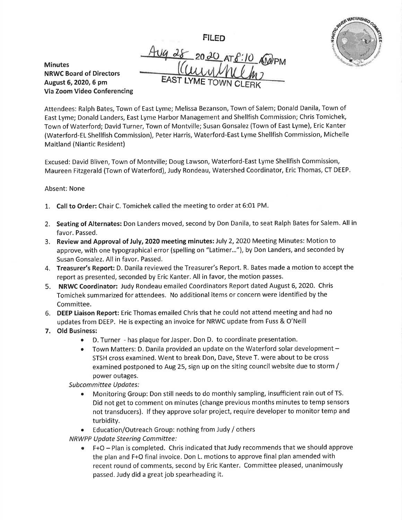FILED



**Minutes** NRWC Board of Directors August 6,2020, 5 pm Via Zoom Video Conferencing Aug 28 20 20 AT 8:10 AMPM EAST LYME TOWN CLERK

Attendees: Ralph Bates, Town of East Lyme; Melissa Bezanson, Town of Salem; Donald Danila, Town of East Lyme; Donald Landers, East Lyme Harbor Management and Shellfish Commission; Chris Tomichek, Town of Waterford; David Turner, Town of Montville; Susan Gonsalez (Town of East Lyme), Eric Kanter (Waterford-EL Shellfish Commission), Peter Harris, Waterford-East Lyme Shellfish Commission, Michelle Maitland (Niantic Resident)

Excused: David Bliven, Town of Montville; Doug Lawson, Waterford-East Lyme Shellfish Commission, Maureen Fitzgerald (Town of Waterford), Judy Rondeau, Watershed Coordinator, Eric Thomas, CT DEEP

## Absent: None

- 1. Call to Order: Chair C. Tomichek called the meeting to order at 6:01 PM.
- 2. Seating of Alternates: Don Landers moved, second by Don Danila, to seat Ralph Bates for Salem. All in favor. Passed.
- 3. Review and Approval of July, 2020 meeting minutes: July 2, 2020 Meeting Minutes: Motion to approve, with one typographical error (spelling on "Latimer..."), by Don Landers, and seconded by Susan Gonsalez. All in favor. Passed.
- 4. Treasurer's Report: D. Danila reviewed the Treasurer's Report. R. Bates made a motion to accept the report as presented, seconded by Eric Kanter. All in favor, the motion passes.
- 5. NRWC Coordinator: Judy Rondeau emailed Coordinators Report dated August 6, 2020. Chris Tomichek summarized for attendees. No additional items or concern were identified by the Committee.
- 6. DEEP Liaison Report: Eric Thomas emailed Chris that he could not attend meeting and had no updates from DEEP. He is expecting an invoice for NRWC update from Fuss & O'Neill
- 7, Old Business:
	- o D. Turner has plaque forJasper. Don D. to coordinate presentation.
	- Town Matters: D. Danila provided an update on the Waterford solar development -STSH cross examined. Went to break Don, Dave, Steve T. were about to be cross examined postponed to Aug 25, sign up on the siting council website due to storm / power outages.

Subcommittee Updates:

- r Monitoring Group: Don still needs to do monthly sampling, insufficient rain out of TS. Did not get to comment on minutes (change previous months minutes to temp sensors not transducers). lf they approve solar project, require developer to monitor temp and turbidity.
- Education/Outreach Group: nothing from Judy / others

NRWPP Update Steering Committee:

 $\bullet$  F+O - Plan is completed. Chris indicated that Judy recommends that we should approve the plan and F+O final invoice. Don L. motions to approve final plan amended with recent round of comments, second by Eric Kanter. Committee pleased, unanimously passed. Judy did a great job spearheading it.